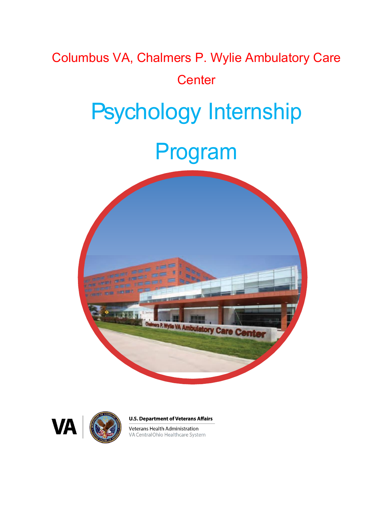



**U.S. Department of Veterans Affairs** 

Veterans Health Administration VA Central Ohio Healthcare System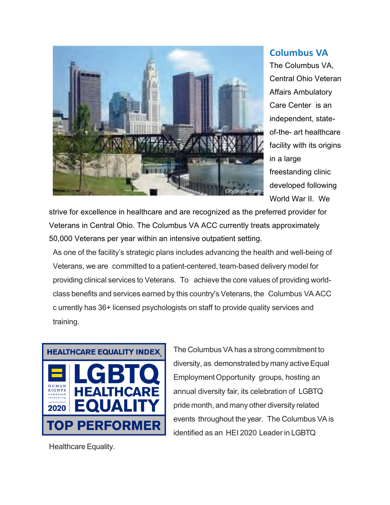

## **Columbus VA**

The Columbus VA, Central Ohio Veteran Affairs Ambulatory Care Center is an independent, stateof-the- art healthcare facility with its origins in a large freestanding clinic developed following World War II. We

strive for excellence in healthcare and are recognized as the preferred provider for Veterans in Central Ohio. The Columbus VA ACC currently treats approximately 50,000 Veterans per year within an intensive outpatient setting.

As one of the facility's strategic plans includes advancing the health and well-being of Veterans, we are committed to a patient-centered, team-based delivery model for providing clinical services to Veterans. To achieve the core values of providing worldclass benefits and services earned by this country's Veterans, the Columbus VA ACC c urrently has 36+ licensed psychologists on staff to provide quality services and training.



The Columbus VA has a strong commitment to diversity, as demonstrated by many active Equal EmploymentOpportunity groups, hosting an annual diversity fair, its celebration of LGBTQ pride month, and many other diversity related events throughout the year. The Columbus VAis identified as an HEI 2020 Leader in LGBTQ

Healthcare Equality.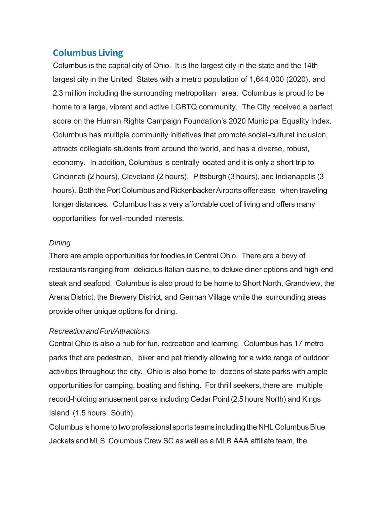## **Columbus Living**

Columbus is the capital city of Ohio. It is the largest city in the state and the 14th largest city in the United States with a metro population of 1,644,000 (2020), and 2.3 million including the surrounding metropolitan area. Columbus is proud to be home to a large, vibrant and active LGBTQ community. The City received a perfect score on the Human Rights Campaign Foundation's 2020 Municipal Equality Index. Columbus has multiple community initiatives that promote social-cultural inclusion, attracts collegiate students from around the world, and has a diverse, robust, economy. In addition, Columbus is centrally located and it is only a short trip to Cincinnati (2 hours), Cleveland (2 hours), Pittsburgh (3 hours), and Indianapolis (3 hours). Both the Port Columbus and Rickenbacker Airports offer ease when traveling longer distances. Columbus has a very affordable cost of living and offers many opportunities for well-rounded interests.

#### *Dining*

There are ample opportunities for foodies in Central Ohio. There are a bevy of restaurants ranging from delicious Italian cuisine, to deluxe diner options and high-end steak and seafood. Columbus is also proud to be home to Short North, Grandview, the Arena District, the Brewery District, and German Village while the surrounding areas provide other unique options for dining.

#### *RecreationandFun/Attractions*

Central Ohio is also a hub for fun, recreation and learning. Columbus has 17 metro parks that are pedestrian, biker and pet friendly allowing for a wide range of outdoor activities throughout the city. Ohio is also home to dozens of state parks with ample opportunities for camping, boating and fishing. For thrill seekers, there are multiple record-holding amusement parks including Cedar Point (2.5 hours North) and Kings Island (1.5 hours South).

Columbus is home to two professional sports teams including the NHL Columbus Blue Jackets and MLS Columbus Crew SC as well as a MLB AAA affiliate team, the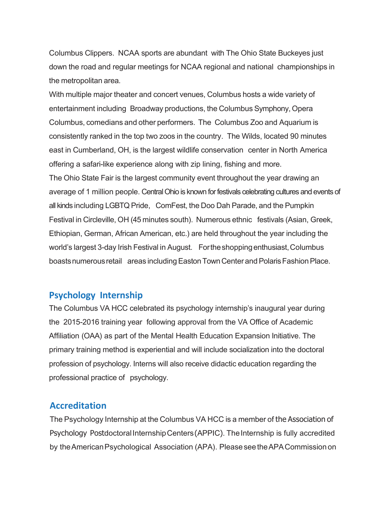Columbus Clippers. NCAA sports are abundant with The Ohio State Buckeyes just down the road and regular meetings for NCAA regional and national championships in the metropolitan area.

With multiple major theater and concert venues, Columbus hosts a wide variety of entertainment including Broadway productions, the Columbus Symphony, Opera Columbus, comedians and other performers. The Columbus Zoo and Aquarium is consistently ranked in the top two zoos in the country. The Wilds, located 90 minutes east in Cumberland, OH, is the largest wildlife conservation center in North America offering a safari-like experience along with zip lining, fishing and more. The Ohio State Fair is the largest community event throughout the year drawing an average of 1 million people. Central Ohio is known for festivals celebrating cultures and events of all kinds including LGBTQ Pride, ComFest, the Doo Dah Parade, and the Pumpkin Festival in Circleville, OH (45 minutes south). Numerous ethnic festivals (Asian, Greek, Ethiopian, German, African American, etc.) are held throughout the year including the world's largest 3-day Irish Festival in August. Fortheshoppingenthusiast,Columbus boasts numerous retail areas including Easton Town Center and Polaris Fashion Place.

## **Psychology Internship**

The Columbus VA HCC celebrated its psychology internship's inaugural year during the 2015-2016 training year following approval from the VA Office of Academic Affiliation (OAA) as part of the Mental Health Education Expansion Initiative. The primary training method is experiential and will include socialization into the doctoral profession of psychology. Interns will also receive didactic education regarding the professional practice of psychology.

## **Accreditation**

The Psychology Internship at the Columbus VA HCC is a member of the Association of Psychology Postdoctoral Internship Centers (APPIC). The Internship is fully accredited by the American Psychological Association (APA). Please see the APA Commission on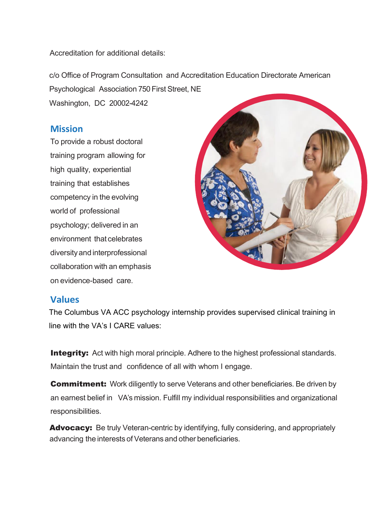Accreditation for additional details:

c/o Office of Program Consultation and Accreditation Education Directorate American Psychological Association 750 First Street, NE Washington, DC 20002-4242

## **Mission**

To provide a robust doctoral training program allowing for high quality, experiential training that establishes competency in the evolving world of professional psychology; delivered in an environment that celebrates diversityand interprofessional collaboration with an emphasis on evidence-based care.



## **Values**

The Columbus VA ACC psychology internship provides supervised clinical training in line with the VA's I CARE values:

**Integrity:** Act with high moral principle. Adhere to the highest professional standards. Maintain the trust and confidence of all with whom I engage.

**Commitment:** Work diligently to serve Veterans and other beneficiaries. Be driven by an earnest belief in VA's mission. Fulfill my individual responsibilities and organizational responsibilities.

Advocacy: Be truly Veteran-centric by identifying, fully considering, and appropriately advancing the interests of Veterans and other beneficiaries.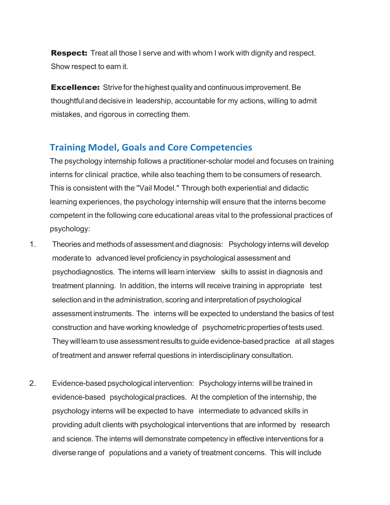**Respect:** Treat all those I serve and with whom I work with dignity and respect. Show respect to earn it.

**Excellence:** Strive for the highest quality and continuous improvement. Be thoughtfuland decisive in leadership, accountable for my actions, willing to admit mistakes, and rigorous in correcting them.

## **Training Model, Goals and Core Competencies**

The psychology internship follows a practitioner-scholar model and focuses on training interns for clinical practice, while also teaching them to be consumers of research. This is consistent with the "Vail Model." Through both experiential and didactic learning experiences, the psychology internship will ensure that the interns become competent in the following core educational areas vital to the professional practices of psychology:

- 1. Theories and methods of assessment and diagnosis: Psychology interns will develop moderate to advanced level proficiency in psychological assessment and psychodiagnostics. The interns will learn interview skills to assist in diagnosis and treatment planning. In addition, the interns will receive training in appropriate test selection and in the administration, scoring and interpretation of psychological assessment instruments. The interns will be expected to understand the basics of test construction and have working knowledge of psychometricproperties oftestsused. They will learn to use assessment results to quide evidence-based practice at all stages of treatment and answer referral questions in interdisciplinary consultation.
- 2. Evidence-based psychological intervention: Psychology interns will be trained in evidence-based psychologicalpractices. At the completion of the internship, the psychology interns will be expected to have intermediate to advanced skills in providing adult clients with psychological interventions that are informed by research and science. The interns will demonstrate competency in effective interventions for a diverse range of populations and a variety of treatment concerns. This will include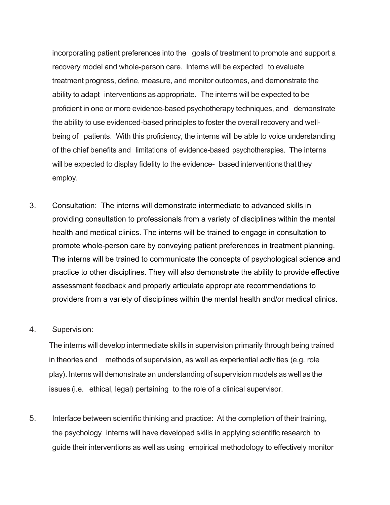incorporating patient preferences into the goals of treatment to promote and support a recovery model and whole-person care. Interns will be expected to evaluate treatment progress, define, measure, and monitor outcomes, and demonstrate the ability to adapt interventions as appropriate. The interns will be expected to be proficient in one or more evidence-based psychotherapy techniques, and demonstrate the ability to use evidenced-based principles to foster the overall recovery and wellbeing of patients. With this proficiency, the interns will be able to voice understanding of the chief benefits and limitations of evidence-based psychotherapies. The interns will be expected to display fidelity to the evidence- based interventions that they employ.

3. Consultation: The interns will demonstrate intermediate to advanced skills in providing consultation to professionals from a variety of disciplines within the mental health and medical clinics. The interns will be trained to engage in consultation to promote whole-person care by conveying patient preferences in treatment planning. The interns will be trained to communicate the concepts of psychological science and practice to other disciplines. They will also demonstrate the ability to provide effective assessment feedback and properly articulate appropriate recommendations to providers from a variety of disciplines within the mental health and/or medical clinics.

#### 4. Supervision:

The interns will develop intermediate skills in supervision primarily through being trained in theories and methods of supervision, as well as experiential activities (e.g. role play). Interns will demonstrate an understanding of supervision models as well as the issues (i.e. ethical, legal) pertaining to the role of a clinical supervisor.

5. Interface between scientific thinking and practice: At the completion of their training, the psychology interns will have developed skills in applying scientific research to guide their interventions as well as using empirical methodology to effectively monitor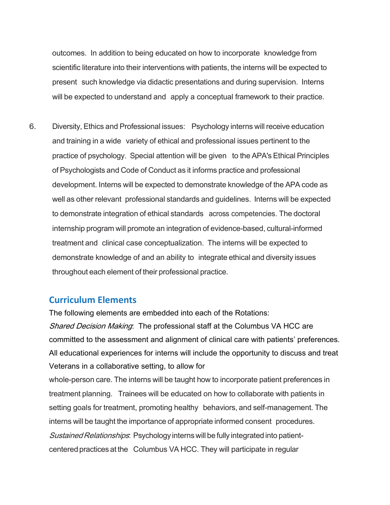outcomes. In addition to being educated on how to incorporate knowledge from scientific literature into their interventions with patients, the interns will be expected to present such knowledge via didactic presentations and during supervision. Interns will be expected to understand and apply a conceptual framework to their practice.

6. Diversity, Ethics and Professional issues: Psychology interns will receive education and training in a wide variety of ethical and professional issues pertinent to the practice of psychology. Special attention will be given to the APA's Ethical Principles of Psychologists and Code of Conduct as it informs practice and professional development. Interns will be expected to demonstrate knowledge of the APA code as well as other relevant professional standards and guidelines. Interns will be expected to demonstrate integration of ethical standards across competencies. The doctoral internship program will promote an integration of evidence-based, cultural-informed treatment and clinical case conceptualization. The interns will be expected to demonstrate knowledge of and an ability to integrate ethical and diversity issues throughout each element of their professional practice.

#### **Curriculum Elements**

The following elements are embedded into each of the Rotations: Shared Decision Making: The professional staff at the Columbus VA HCC are committed to the assessment and alignment of clinical care with patients' preferences. All educational experiences for interns will include the opportunity to discuss and treat Veterans in a collaborative setting, to allow for

whole-person care. The interns will be taught how to incorporate patient preferences in treatment planning. Trainees will be educated on how to collaborate with patients in setting goals for treatment, promoting healthy behaviors, and self-management. The interns will be taught the importance of appropriate informed consent procedures. Sustained Relationships: Psychology interns will be fully integrated into patientcentered practices at the Columbus VA HCC. They will participate in regular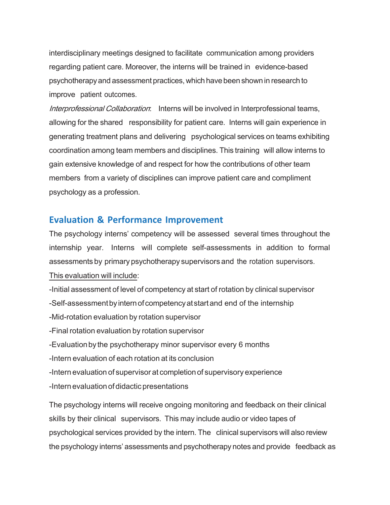interdisciplinary meetings designed to facilitate communication among providers regarding patient care. Moreover, the interns will be trained in evidence-based psychotherapyand assessment practices, which have been shownin research to improve patient outcomes.

Interprofessional Collaboration: Interns will be involved in Interprofessional teams, allowing for the shared responsibility for patient care. Interns will gain experience in generating treatment plans and delivering psychological services on teams exhibiting coordination among team members and disciplines. This training will allow interns to gain extensive knowledge of and respect for how the contributions of other team members from a variety of disciplines can improve patient care and compliment psychology as a profession.

## **Evaluation & Performance Improvement**

The psychology interns' competency will be assessed several times throughout the internship year. Interns will complete self-assessments in addition to formal assessments by primary psychotherapy supervisors and the rotation supervisors. This evaluation will include:

-Initial assessment of level of competency at start of rotation by clinical supervisor

- -Self-assessmentby internofcompetencyatstartand end of the internship
- -Mid-rotation evaluation by rotation supervisor
- -Final rotation evaluation by rotation supervisor
- -Evaluationby the psychotherapy minor supervisor every 6 months
- -Intern evaluation of each rotation at its conclusion
- -Intern evaluation of supervisor at completion of supervisory experience
- -Internevaluationofdidactic presentations

The psychology interns will receive ongoing monitoring and feedback on their clinical skills by their clinical supervisors. This may include audio or video tapes of psychological services provided by the intern. The clinical supervisors will also review the psychology interns' assessments and psychotherapy notes and provide feedback as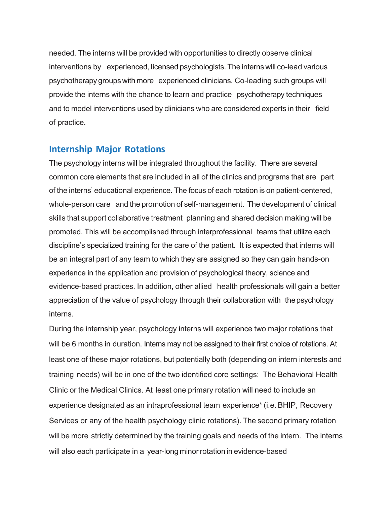needed. The interns will be provided with opportunities to directly observe clinical interventions by experienced, licensed psychologists. The interns will co-lead various psychotherapy groupswith more experienced clinicians. Co-leading such groups will provide the interns with the chance to learn and practice psychotherapy techniques and to model interventions used by clinicians who are considered experts in their field of practice.

#### **Internship Major Rotations**

The psychology interns will be integrated throughout the facility. There are several common core elements that are included in all of the clinics and programs that are part of the interns' educational experience. The focus of each rotation is on patient-centered, whole-person care and the promotion of self-management. The development of clinical skills that support collaborative treatment planning and shared decision making will be promoted. This will be accomplished through interprofessional teams that utilize each discipline's specialized training for the care of the patient. It is expected that interns will be an integral part of any team to which they are assigned so they can gain hands-on experience in the application and provision of psychological theory, science and evidence-based practices. In addition, other allied health professionals will gain a better appreciation of the value of psychology through their collaboration with thepsychology interns.

During the internship year, psychology interns will experience two major rotations that will be 6 months in duration. Interns may not be assigned to their first choice of rotations. At least one of these major rotations, but potentially both (depending on intern interests and training needs) will be in one of the two identified core settings: The Behavioral Health Clinic or the Medical Clinics. At least one primary rotation will need to include an experience designated as an intraprofessional team experience\*(i.e. BHIP, Recovery Services or any of the health psychology clinic rotations). The second primary rotation will be more strictly determined by the training goals and needs of the intern. The interns will also each participate in a year-long minor rotation in evidence-based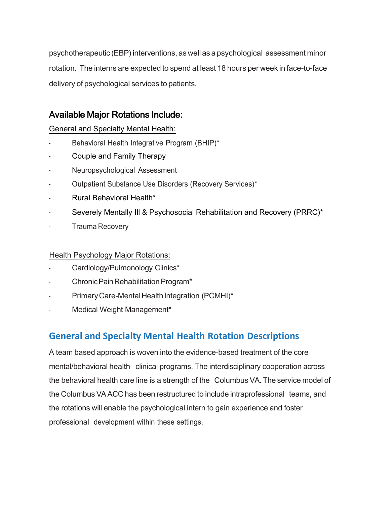psychotherapeutic (EBP) interventions, as well as a psychological assessment minor rotation. The interns are expected to spend at least 18 hours per week in face-to-face delivery of psychological services to patients.

## Available Major Rotations Include:

General and Specialty Mental Health:

- Behavioral Health Integrative Program (BHIP)\*
- Couple and Family Therapy
- Neuropsychological Assessment
- Outpatient Substance Use Disorders (Recovery Services)\*
- Rural Behavioral Health\*
- Severely Mentally III & Psychosocial Rehabilitation and Recovery (PRRC)\*
- Trauma Recovery

#### Health Psychology Major Rotations:

- Cardiology/Pulmonology Clinics\*
- Chronic Pain Rehabilitation Program\*
- Primary Care-Mental Health Integration (PCMHI)\*
- Medical Weight Management\*

## **General and Specialty Mental Health Rotation Descriptions**

A team based approach is woven into the evidence-based treatment of the core mental/behavioral health clinical programs. The interdisciplinary cooperation across the behavioral health care line is a strength of the Columbus VA. The service model of the Columbus VAACC has been restructured to include intraprofessional teams, and the rotations will enable the psychological intern to gain experience and foster professional development within these settings.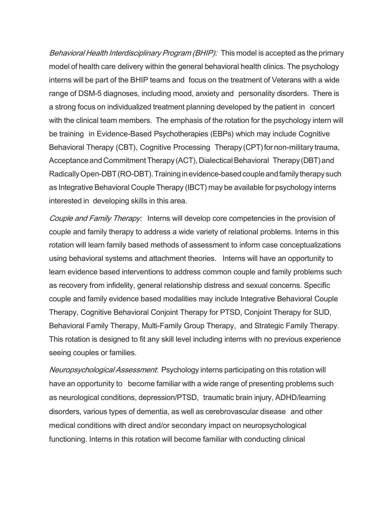Behavioral Health Interdisciplinary Program (BHIP): This model is accepted as the primary model of health care delivery within the general behavioral health clinics. The psychology interns will be part of the BHIP teams and focus on the treatment of Veterans with a wide range of DSM-5 diagnoses, including mood, anxiety and personality disorders. There is a strong focus on individualized treatment planning developed by the patient in concert with the clinical team members. The emphasis of the rotation for the psychology intern will be training in Evidence-Based Psychotherapies (EBPs) which may include Cognitive Behavioral Therapy (CBT), Cognitive Processing Therapy (CPT) for non-military trauma, Acceptance and Commitment Therapy (ACT), Dialectical Behavioral Therapy (DBT) and RadicallyOpen-DBT(RO-DBT).Traininginevidence-basedcoupleandfamilytherapysuch as Integrative Behavioral Couple Therapy (IBCT) may be available for psychology interns interested in developing skills in this area.

Couple and Family Therapy: Interns will develop core competencies in the provision of couple and family therapy to address a wide variety of relational problems. Interns in this rotation will learn family based methods of assessment to inform case conceptualizations using behavioral systems and attachment theories. Interns will have an opportunity to learn evidence based interventions to address common couple and family problems such as recovery from infidelity, general relationship distress and sexual concerns. Specific couple and family evidence based modalities may include Integrative Behavioral Couple Therapy, Cognitive Behavioral Conjoint Therapy for PTSD, Conjoint Therapy for SUD, Behavioral Family Therapy, Multi-Family Group Therapy, and Strategic Family Therapy. This rotation is designed to fit any skill level including interns with no previous experience seeing couples or families.

Neuropsychological Assessment: Psychology interns participating on this rotation will have an opportunity to become familiar with a wide range of presenting problems such as neurological conditions, depression/PTSD, traumatic brain injury, ADHD/learning disorders, various types of dementia, as well as cerebrovascular disease and other medical conditions with direct and/or secondary impact on neuropsychological functioning. Interns in this rotation will become familiar with conducting clinical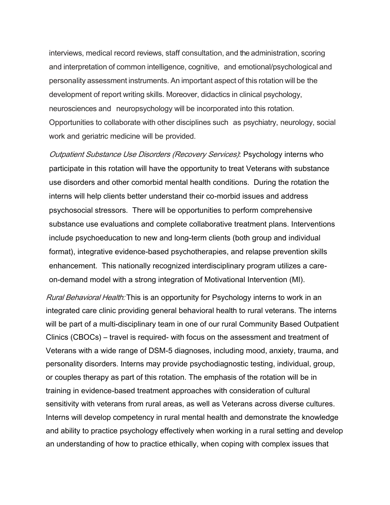interviews, medical record reviews, staff consultation, and the administration, scoring and interpretation of common intelligence, cognitive, and emotional/psychological and personality assessment instruments. An important aspect of this rotation will be the development of report writing skills. Moreover, didactics in clinical psychology, neurosciences and neuropsychology will be incorporated into this rotation. Opportunities to collaborate with other disciplines such as psychiatry, neurology, social work and geriatric medicine will be provided.

Outpatient Substance Use Disorders (Recovery Services): Psychology interns who participate in this rotation will have the opportunity to treat Veterans with substance use disorders and other comorbid mental health conditions. During the rotation the interns will help clients better understand their co-morbid issues and address psychosocial stressors. There will be opportunities to perform comprehensive substance use evaluations and complete collaborative treatment plans. Interventions include psychoeducation to new and long-term clients (both group and individual format), integrative evidence-based psychotherapies, and relapse prevention skills enhancement. This nationally recognized interdisciplinary program utilizes a careon-demand model with a strong integration of Motivational Intervention (MI).

Rural Behavioral Health: This is an opportunity for Psychology interns to work in an integrated care clinic providing general behavioral health to rural veterans. The interns will be part of a multi-disciplinary team in one of our rural Community Based Outpatient Clinics (CBOCs) – travel is required- with focus on the assessment and treatment of Veterans with a wide range of DSM-5 diagnoses, including mood, anxiety, trauma, and personality disorders. Interns may provide psychodiagnostic testing, individual, group, or couples therapy as part of this rotation. The emphasis of the rotation will be in training in evidence-based treatment approaches with consideration of cultural sensitivity with veterans from rural areas, as well as Veterans across diverse cultures. Interns will develop competency in rural mental health and demonstrate the knowledge and ability to practice psychology effectively when working in a rural setting and develop an understanding of how to practice ethically, when coping with complex issues that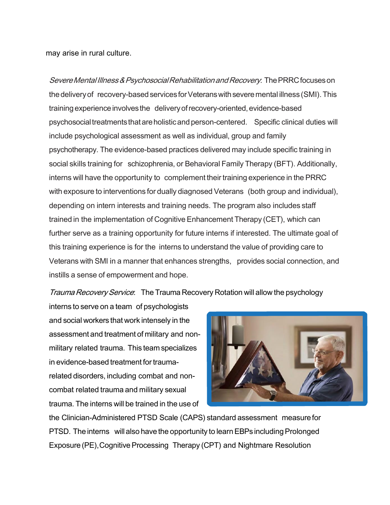may arise in rural culture.

Severe Mental Illness & Psychosocial Rehabilitation and Recovery. The PRRC focuses on the delivery of recovery-based services for Veterans with severe mental illness (SMI). This training experience involves the delivery of recovery-oriented, evidence-based psychosocial treatments that are holistic and person-centered. Specific clinical duties will include psychological assessment as well as individual, group and family psychotherapy. The evidence-based practices delivered may include specific training in social skills training for schizophrenia, or Behavioral Family Therapy (BFT). Additionally, interns will have the opportunity to complement their training experience in the PRRC with exposure to interventions for dually diagnosed Veterans (both group and individual), depending on intern interests and training needs. The program also includes staff trained in the implementation of Cognitive Enhancement Therapy (CET), which can further serve as a training opportunity for future interns if interested. The ultimate goal of this training experience is for the interns to understand the value of providing care to Veterans with SMI in a manner that enhances strengths, provides social connection, and instills a sense of empowerment and hope.

Trauma Recovery Service: The Trauma Recovery Rotation will allow the psychology

interns to serve on a team of psychologists and social workers that work intensely in the assessment and treatment of military and nonmilitary related trauma. This team specializes in evidence-based treatment for traumarelated disorders, including combat and noncombat related trauma and military sexual trauma. The interns will be trained in the use of



the Clinician-Administered PTSD Scale (CAPS) standard assessment measurefor PTSD. The interns will also have the opportunity to learn EBPs including Prolonged Exposure (PE), Cognitive Processing Therapy (CPT) and Nightmare Resolution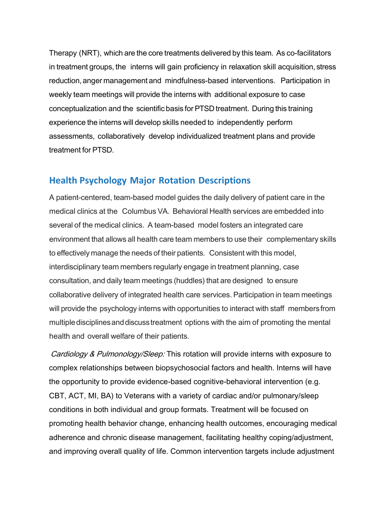Therapy (NRT), which are the core treatments delivered by this team. As co-facilitators in treatment groups, the interns will gain proficiency in relaxation skill acquisition, stress reduction, anger management and mindfulness-based interventions. Participation in weekly team meetings will provide the interns with additional exposure to case conceptualization and the scientific basis for PTSD treatment. During this training experience the interns will develop skills needed to independently perform assessments, collaboratively develop individualized treatment plans and provide treatment for PTSD.

### **Health Psychology Major Rotation Descriptions**

A patient-centered, team-based model guides the daily delivery of patient care in the medical clinics at the Columbus VA. Behavioral Health services are embedded into several of the medical clinics. A team-based model fosters an integrated care environment that allows all health care team members to use their complementary skills to effectively manage the needs of their patients. Consistent with this model, interdisciplinary team members regularly engage in treatment planning, case consultation, and daily team meetings (huddles) that are designed to ensure collaborative delivery of integrated health care services. Participation in team meetings will provide the psychology interns with opportunities to interact with staff membersfrom multiple disciplines and discuss treatment options with the aim of promoting the mental health and overall welfare of their patients.

Cardiology & Pulmonology/Sleep: This rotation will provide interns with exposure to complex relationships between biopsychosocial factors and health. Interns will have the opportunity to provide evidence-based cognitive-behavioral intervention (e.g. CBT, ACT, MI, BA) to Veterans with a variety of cardiac and/or pulmonary/sleep conditions in both individual and group formats. Treatment will be focused on promoting health behavior change, enhancing health outcomes, encouraging medical adherence and chronic disease management, facilitating healthy coping/adjustment, and improving overall quality of life. Common intervention targets include adjustment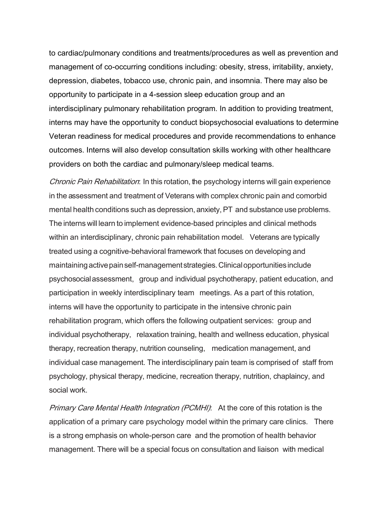to cardiac/pulmonary conditions and treatments/procedures as well as prevention and management of co-occurring conditions including: obesity, stress, irritability, anxiety, depression, diabetes, tobacco use, chronic pain, and insomnia. There may also be opportunity to participate in a 4-session sleep education group and an interdisciplinary pulmonary rehabilitation program. In addition to providing treatment, interns may have the opportunity to conduct biopsychosocial evaluations to determine Veteran readiness for medical procedures and provide recommendations to enhance outcomes. Interns will also develop consultation skills working with other healthcare providers on both the cardiac and pulmonary/sleep medical teams.

Chronic Pain Rehabilitation: In this rotation, the psychology interns will gain experience in the assessment and treatment of Veterans with complex chronic pain and comorbid mental health conditions such as depression, anxiety, PT and substance use problems. The interns will learn to implement evidence-based principles and clinical methods within an interdisciplinary, chronic pain rehabilitation model. Veterans are typically treated using a cognitive-behavioral framework that focuses on developing and maintaining active pain self-management strategies. Clinical opportunities include psychosocialassessment, group and individual psychotherapy, patient education, and participation in weekly interdisciplinary team meetings. As a part of this rotation, interns will have the opportunity to participate in the intensive chronic pain rehabilitation program, which offers the following outpatient services: group and individual psychotherapy, relaxation training, health and wellness education, physical therapy, recreation therapy, nutrition counseling, medication management, and individual case management. The interdisciplinary pain team is comprised of staff from psychology, physical therapy, medicine, recreation therapy, nutrition, chaplaincy, and social work.

Primary Care Mental Health Integration (PCMHI): At the core of this rotation is the application of a primary care psychology model within the primary care clinics. There is a strong emphasis on whole-person care and the promotion of health behavior management. There will be a special focus on consultation and liaison with medical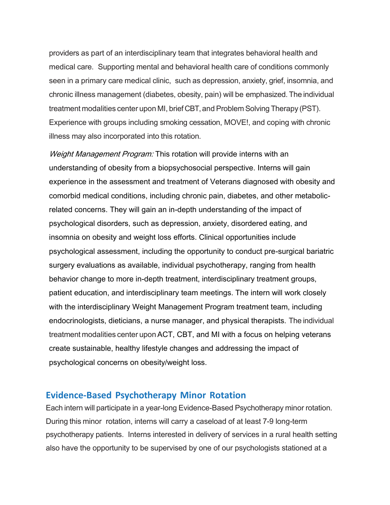providers as part of an interdisciplinary team that integrates behavioral health and medical care. Supporting mental and behavioral health care of conditions commonly seen in a primary care medical clinic, such as depression, anxiety, grief, insomnia, and chronic illness management (diabetes, obesity, pain) will be emphasized. The individual treatment modalities center upon MI, brief CBT, and Problem Solving Therapy (PST). Experience with groups including smoking cessation, MOVE!, and coping with chronic illness may also incorporated into this rotation.

Weight Management Program: This rotation will provide interns with an understanding of obesity from a biopsychosocial perspective. Interns will gain experience in the assessment and treatment of Veterans diagnosed with obesity and comorbid medical conditions, including chronic pain, diabetes, and other metabolicrelated concerns. They will gain an in-depth understanding of the impact of psychological disorders, such as depression, anxiety, disordered eating, and insomnia on obesity and weight loss efforts. Clinical opportunities include psychological assessment, including the opportunity to conduct pre-surgical bariatric surgery evaluations as available, individual psychotherapy, ranging from health behavior change to more in-depth treatment, interdisciplinary treatment groups, patient education, and interdisciplinary team meetings. The intern will work closely with the interdisciplinary Weight Management Program treatment team, including endocrinologists, dieticians, a nurse manager, and physical therapists. The individual treatment modalities center uponACT, CBT, and MI with a focus on helping veterans create sustainable, healthy lifestyle changes and addressing the impact of psychological concerns on obesity/weight loss.

## **Evidence-Based Psychotherapy Minor Rotation**

Each intern will participate in a year-long Evidence-Based Psychotherapy minor rotation. During this minor rotation, interns will carry a caseload of at least 7-9 long-term psychotherapy patients. Interns interested in delivery of services in a rural health setting also have the opportunity to be supervised by one of our psychologists stationed at a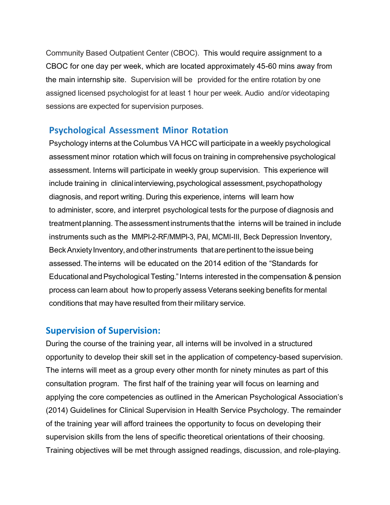Community Based Outpatient Center (CBOC). This would require assignment to a CBOC for one day per week, which are located approximately 45-60 mins away from the main internship site. Supervision will be provided for the entire rotation by one assigned licensed psychologist for at least 1 hour per week. Audio and/or videotaping sessions are expected for supervision purposes.

## **Psychological Assessment Minor Rotation**

Psychology interns at the Columbus VA HCC will participate in a weekly psychological assessment minor rotation which will focus on training in comprehensive psychological assessment. Interns will participate in weekly group supervision. This experience will include training in clinical interviewing, psychological assessment, psychopathology diagnosis, and report writing. During this experience, interns will learn how to administer, score, and interpret psychological tests for the purpose of diagnosis and treatment planning. The assessment instruments that the interns will be trained in include instruments such as the MMPI-2-RF/MMPI-3, PAI, MCMI-III, Beck Depression Inventory, Beck Anxiety Inventory, and other instruments that are pertinent to the issue being assessed.The interns will be educated on the 2014 edition of the "Standards for EducationalandPsychologicalTesting."Interns interested in the compensation & pension process can learn about how to properly assess Veterans seeking benefits for mental conditions that may have resulted from their military service.

## **Supervision of Supervision:**

During the course of the training year, all interns will be involved in a structured opportunity to develop their skill set in the application of competency-based supervision. The interns will meet as a group every other month for ninety minutes as part of this consultation program. The first half of the training year will focus on learning and applying the core competencies as outlined in the American Psychological Association's (2014) Guidelines for Clinical Supervision in Health Service Psychology. The remainder of the training year will afford trainees the opportunity to focus on developing their supervision skills from the lens of specific theoretical orientations of their choosing. Training objectives will be met through assigned readings, discussion, and role-playing.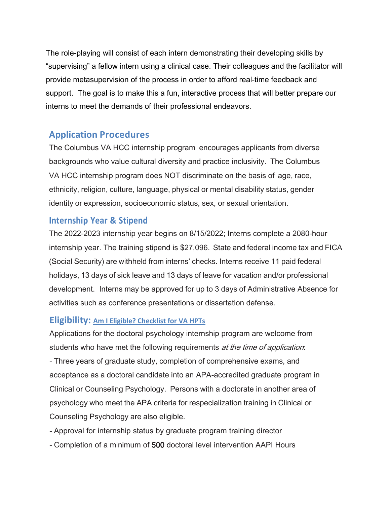The role-playing will consist of each intern demonstrating their developing skills by "supervising" a fellow intern using a clinical case. Their colleagues and the facilitator will provide metasupervision of the process in order to afford real-time feedback and support. The goal is to make this a fun, interactive process that will better prepare our interns to meet the demands of their professional endeavors.

## **Application Procedures**

The Columbus VA HCC internship program encourages applicants from diverse backgrounds who value cultural diversity and practice inclusivity. The Columbus VA HCC internship program does NOT discriminate on the basis of age, race, ethnicity, religion, culture, language, physical or mental disability status, gender identity or expression, socioeconomic status, sex, or sexual orientation.

## **Internship Year & Stipend**

The 2022-2023 internship year begins on 8/15/2022; Interns complete a 2080-hour internship year. The training stipend is \$27,096. State and federal income tax and FICA (Social Security) are withheld from interns' checks. Interns receive 11 paid federal holidays, 13 days of sick leave and 13 days of leave for vacation and/or professional development. Interns may be approved for up to 3 days of Administrative Absence for activities such as conference presentations or dissertation defense.

## **Eligibility: [Am I Eligible? Checklist for VA HPTs](https://gcc02.safelinks.protection.outlook.com/?url=https%3A%2F%2Fwww.va.gov%2FOAA%2FTQCVL%2F2021HPTInstructionsFINALv2.pdf&data=04%7C01%7C%7C386dc2269c6249f84eb008d9b3348f3b%7Ce95f1b23abaf45ee821db7ab251ab3bf%7C0%7C0%7C637737860599981658%7CUnknown%7CTWFpbGZsb3d8eyJWIjoiMC4wLjAwMDAiLCJQIjoiV2luMzIiLCJBTiI6Ik1haWwiLCJXVCI6Mn0%3D%7C3000&sdata=OFop3%2FafTxO4RDaBMGO5HlKc7TMK%2Fp%2BZr7kuLXSPnOo%3D&reserved=0)**

Applications for the doctoral psychology internship program are welcome from students who have met the following requirements *at the time of application*: - Three years of graduate study, completion of comprehensive exams, and acceptance as a doctoral candidate into an APA-accredited graduate program in

Clinical or Counseling Psychology. Persons with a doctorate in another area of psychology who meet the APA criteria for respecialization training in Clinical or Counseling Psychology are also eligible.

- Approval for internship status by graduate program training director
- Completion of a minimum of 500 doctoral level intervention AAPI Hours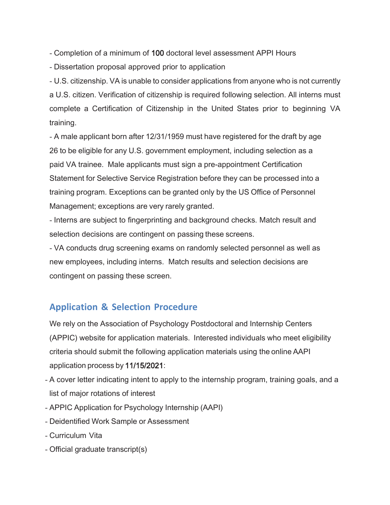- Completion of a minimum of 100 doctoral level assessment APPI Hours

- Dissertation proposal approved prior to application

- U.S. citizenship. VA is unable to consider applications from anyone who is not currently a U.S. citizen. Verification of citizenship is required following selection. All interns must complete a Certification of Citizenship in the United States prior to beginning VA training.

- A male applicant born after 12/31/1959 must have registered for the draft by age 26 to be eligible for any U.S. government employment, including selection as a paid VA trainee. Male applicants must sign a pre-appointment Certification Statement for Selective Service Registration before they can be processed into a training program. Exceptions can be granted only by the US Office of Personnel Management; exceptions are very rarely granted.

- Interns are subject to fingerprinting and background checks. Match result and selection decisions are contingent on passing these screens.

- VA conducts drug screening exams on randomly selected personnel as well as new employees, including interns. Match results and selection decisions are contingent on passing these screen.

## **Application & Selection Procedure**

We rely on the Association of Psychology Postdoctoral and Internship Centers (APPIC) website for application materials. Interested individuals who meet eligibility criteria should submit the following application materials using the online AAPI application process by 11/15/2021:

- A cover letter indicating intent to apply to the internship program, training goals, and a list of major rotations of interest
- APPIC Application for Psychology Internship (AAPI)
- Deidentified Work Sample or Assessment
- Curriculum Vita
- Official graduate transcript(s)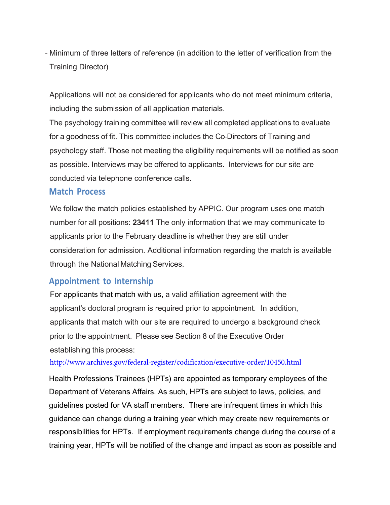- Minimum of three letters of reference (in addition to the letter of verification from the Training Director)

Applications will not be considered for applicants who do not meet minimum criteria, including the submission of all application materials.

The psychology training committee will review all completed applications to evaluate for a goodness of fit. This committee includes the Co-Directors of Training and psychology staff. Those not meeting the eligibility requirements will be notified as soon as possible. Interviews may be offered to applicants. Interviews for our site are conducted via telephone conference calls.

#### **Match Process**

We follow the match policies established by APPIC. Our program uses one match number for all positions: 23411 The only information that we may communicate to applicants prior to the February deadline is whether they are still under consideration for admission. Additional information regarding the match is available through the National Matching Services.

#### **Appointment to Internship**

For applicants that match with us, a valid affiliation agreement with the applicant's doctoral program is required prior to appointment. In addition, applicants that match with our site are required to undergo a background check prior to the appointment. Please see Section 8 of the Executive Order establishing this process:

http://www.archives.gov/federal-register/codification/executive-order/10450.html

Health Professions Trainees (HPTs) are appointed as temporary employees of the Department of Veterans Affairs. As such, HPTs are subject to laws, policies, and guidelines posted for VA staff members. There are infrequent times in which this guidance can change during a training year which may create new requirements or responsibilities for HPTs. If employment requirements change during the course of a training year, HPTs will be notified of the change and impact as soon as possible and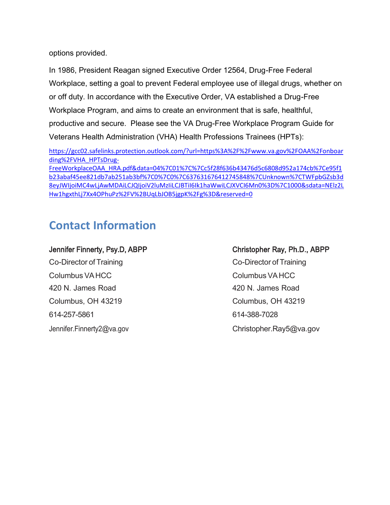options provided.

In 1986, President Reagan signed Executive Order 12564, Drug-Free Federal Workplace, setting a goal to prevent Federal employee use of illegal drugs, whether on or off duty. In accordance with the Executive Order, VA established a Drug-Free Workplace Program, and aims to create an environment that is safe, healthful, productive and secure. Please see the VA Drug-Free Workplace Program Guide for Veterans Health Administration (VHA) Health Professions Trainees (HPTs):

[https://gcc02.safelinks.protection.outlook.com/?url=https%3A%2F%2Fwww.va.gov%2FOAA%2Fonboar](https://gcc02.safelinks.protection.outlook.com/?url=https%3A%2F%2Fwww.va.gov%2FOAA%2Fonboarding%2FVHA_HPTsDrug-FreeWorkplaceOAA_HRA.pdf&data=04%7C01%7C%7Cc5f28f636b43476d5c6808d952a174cb%7Ce95f1b23abaf45ee821db7ab251ab3bf%7C0%7C0%7C637631676412745848%7CUnknown%7CTWFpbGZsb3d8eyJWIjoiMC4wLjAwMDAiLCJQIjoiV2luMzIiLCJBTiI6Ik1haWwiLCJXVCI6Mn0%3D%7C1000&sdata=NElz2LHw1hgxthLj7Xx4OPhuPz%2FV%2BUqLbJOB5jgpK%2Fg%3D&reserved=0) [ding%2FVHA\\_HPTsDrug-](https://gcc02.safelinks.protection.outlook.com/?url=https%3A%2F%2Fwww.va.gov%2FOAA%2Fonboarding%2FVHA_HPTsDrug-FreeWorkplaceOAA_HRA.pdf&data=04%7C01%7C%7Cc5f28f636b43476d5c6808d952a174cb%7Ce95f1b23abaf45ee821db7ab251ab3bf%7C0%7C0%7C637631676412745848%7CUnknown%7CTWFpbGZsb3d8eyJWIjoiMC4wLjAwMDAiLCJQIjoiV2luMzIiLCJBTiI6Ik1haWwiLCJXVCI6Mn0%3D%7C1000&sdata=NElz2LHw1hgxthLj7Xx4OPhuPz%2FV%2BUqLbJOB5jgpK%2Fg%3D&reserved=0)

[FreeWorkplaceOAA\\_HRA.pdf&data=04%7C01%7C%7Cc5f28f636b43476d5c6808d952a174cb%7Ce95f1](https://gcc02.safelinks.protection.outlook.com/?url=https%3A%2F%2Fwww.va.gov%2FOAA%2Fonboarding%2FVHA_HPTsDrug-FreeWorkplaceOAA_HRA.pdf&data=04%7C01%7C%7Cc5f28f636b43476d5c6808d952a174cb%7Ce95f1b23abaf45ee821db7ab251ab3bf%7C0%7C0%7C637631676412745848%7CUnknown%7CTWFpbGZsb3d8eyJWIjoiMC4wLjAwMDAiLCJQIjoiV2luMzIiLCJBTiI6Ik1haWwiLCJXVCI6Mn0%3D%7C1000&sdata=NElz2LHw1hgxthLj7Xx4OPhuPz%2FV%2BUqLbJOB5jgpK%2Fg%3D&reserved=0) [b23abaf45ee821db7ab251ab3bf%7C0%7C0%7C637631676412745848%7CUnknown%7CTWFpbGZsb3d](https://gcc02.safelinks.protection.outlook.com/?url=https%3A%2F%2Fwww.va.gov%2FOAA%2Fonboarding%2FVHA_HPTsDrug-FreeWorkplaceOAA_HRA.pdf&data=04%7C01%7C%7Cc5f28f636b43476d5c6808d952a174cb%7Ce95f1b23abaf45ee821db7ab251ab3bf%7C0%7C0%7C637631676412745848%7CUnknown%7CTWFpbGZsb3d8eyJWIjoiMC4wLjAwMDAiLCJQIjoiV2luMzIiLCJBTiI6Ik1haWwiLCJXVCI6Mn0%3D%7C1000&sdata=NElz2LHw1hgxthLj7Xx4OPhuPz%2FV%2BUqLbJOB5jgpK%2Fg%3D&reserved=0) [8eyJWIjoiMC4wLjAwMDAiLCJQIjoiV2luMzIiLCJBTiI6Ik1haWwiLCJXVCI6Mn0%3D%7C1000&sdata=NElz2L](https://gcc02.safelinks.protection.outlook.com/?url=https%3A%2F%2Fwww.va.gov%2FOAA%2Fonboarding%2FVHA_HPTsDrug-FreeWorkplaceOAA_HRA.pdf&data=04%7C01%7C%7Cc5f28f636b43476d5c6808d952a174cb%7Ce95f1b23abaf45ee821db7ab251ab3bf%7C0%7C0%7C637631676412745848%7CUnknown%7CTWFpbGZsb3d8eyJWIjoiMC4wLjAwMDAiLCJQIjoiV2luMzIiLCJBTiI6Ik1haWwiLCJXVCI6Mn0%3D%7C1000&sdata=NElz2LHw1hgxthLj7Xx4OPhuPz%2FV%2BUqLbJOB5jgpK%2Fg%3D&reserved=0) [Hw1hgxthLj7Xx4OPhuPz%2FV%2BUqLbJOB5jgpK%2Fg%3D&reserved=0](https://gcc02.safelinks.protection.outlook.com/?url=https%3A%2F%2Fwww.va.gov%2FOAA%2Fonboarding%2FVHA_HPTsDrug-FreeWorkplaceOAA_HRA.pdf&data=04%7C01%7C%7Cc5f28f636b43476d5c6808d952a174cb%7Ce95f1b23abaf45ee821db7ab251ab3bf%7C0%7C0%7C637631676412745848%7CUnknown%7CTWFpbGZsb3d8eyJWIjoiMC4wLjAwMDAiLCJQIjoiV2luMzIiLCJBTiI6Ik1haWwiLCJXVCI6Mn0%3D%7C1000&sdata=NElz2LHw1hgxthLj7Xx4OPhuPz%2FV%2BUqLbJOB5jgpK%2Fg%3D&reserved=0)

# **Contact Information**

#### Jennifer Finnerty, Psy.D, ABPP Christopher Ray, Ph.D., ABPP

Co-Director of Training Co-Director of Training Columbus VAHCC Columbus VAHCC 420 N. James Road 420 N. James Road Columbus, OH 43219 Columbus, OH 43219 614-257-5861 614-388-7028

[Jennifer.Finnerty2@va.gov](mailto:Jennifer.Finnerty2@va.gov) [Christopher.Ray5@va.gov](mailto:Christopher.Ray5@va.gov)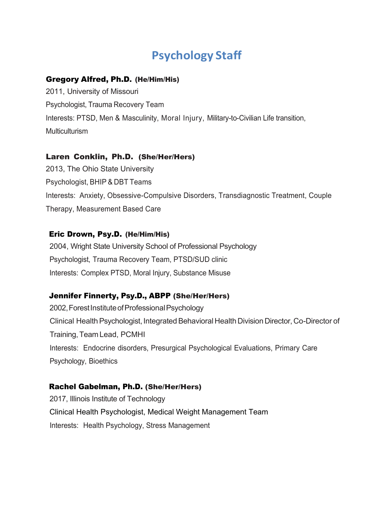# **Psychology Staff**

#### Gregory Alfred, Ph.D. (He/Him/His)

2011, University of Missouri Psychologist, Trauma Recovery Team Interests: PTSD, Men & Masculinity, Moral Injury, Military-to-Civilian Life transition, Multiculturism

#### Laren Conklin, Ph.D. (She/Her/Hers)

2013, The Ohio State University Psychologist, BHIP & DBT Teams Interests: Anxiety, Obsessive-Compulsive Disorders, Transdiagnostic Treatment, Couple Therapy, Measurement Based Care

#### Eric Drown, Psy.D. (He/Him/His)

2004, Wright State University School of Professional Psychology Psychologist, Trauma Recovery Team, PTSD/SUD clinic Interests: Complex PTSD, Moral Injury, Substance Misuse

#### Jennifer Finnerty, Psy.D., ABPP (She/Her/Hers)

2002, Forest Institute of Professional Psychology Clinical Health Psychologist, Integrated Behavioral Health Division Director, Co-Director of Training, Team Lead, PCMHI Interests: Endocrine disorders, Presurgical Psychological Evaluations, Primary Care Psychology, Bioethics

#### Rachel Gabelman, Ph.D. (She/Her/Hers)

2017, Illinois Institute of Technology Clinical Health Psychologist, Medical Weight Management Team Interests: Health Psychology, Stress Management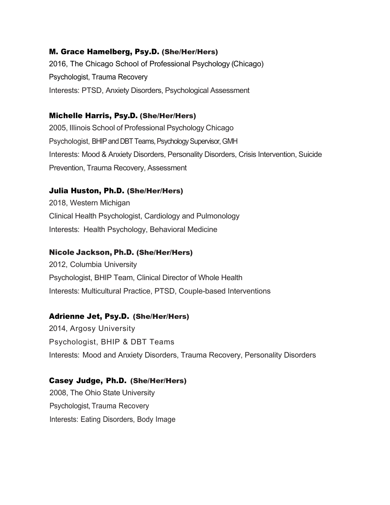#### M. Grace Hamelberg, Psy.D. (She/Her/Hers)

2016, The Chicago School of Professional Psychology (Chicago) Psychologist, Trauma Recovery Interests: PTSD, Anxiety Disorders, Psychological Assessment

#### Michelle Harris, Psy.D. (She/Her/Hers)

2005, Illinois School of Professional Psychology Chicago Psychologist, BHIP and DBT Teams, Psychology Supervisor, GMH Interests: Mood & Anxiety Disorders, Personality Disorders, Crisis Intervention, Suicide Prevention, Trauma Recovery, Assessment

#### Julia Huston, Ph.D. (She/Her/Hers)

2018, Western Michigan Clinical Health Psychologist, Cardiology and Pulmonology Interests: Health Psychology, Behavioral Medicine

#### Nicole Jackson, Ph.D. (She/Her/Hers)

2012, Columbia University Psychologist, BHIP Team, Clinical Director of Whole Health Interests: Multicultural Practice, PTSD, Couple-based Interventions

#### Adrienne Jet, Psy.D. (She/Her/Hers)

2014, Argosy University Psychologist, BHIP & DBT Teams Interests: Mood and Anxiety Disorders, Trauma Recovery, Personality Disorders

#### Casey Judge, Ph.D. (She/Her/Hers)

2008, The Ohio State University Psychologist, Trauma Recovery Interests: Eating Disorders, Body Image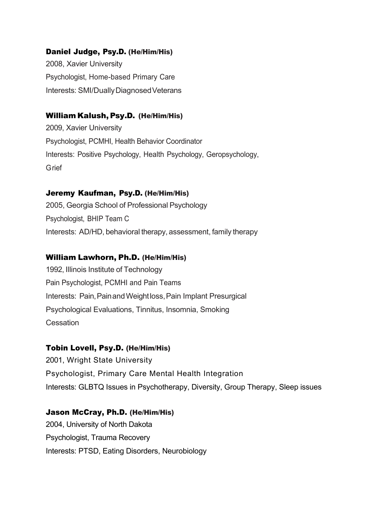#### Daniel Judge, Psy.D. (He/Him/His)

2008, Xavier University Psychologist, Home-based Primary Care Interests: SMI/Dually Diagnosed Veterans

#### William Kalush, Psy.D. (He/Him/His)

2009, Xavier University Psychologist, PCMHI, Health Behavior Coordinator Interests: Positive Psychology, Health Psychology, Geropsychology, Grief

#### Jeremy Kaufman, Psy.D. (He/Him/His)

2005, Georgia School of Professional Psychology Psychologist, BHIP Team C Interests: AD/HD, behavioral therapy, assessment, family therapy

#### William Lawhorn, Ph.D. (He/Him/His)

1992, Illinois Institute of Technology Pain Psychologist, PCMHI and Pain Teams Interests: Pain,PainandWeightloss,Pain Implant Presurgical Psychological Evaluations, Tinnitus, Insomnia, Smoking **Cessation** 

#### Tobin Lovell, Psy.D. (He/Him/His)

2001, Wright State University Psychologist, Primary Care Mental Health Integration Interests: GLBTQ Issues in Psychotherapy, Diversity, Group Therapy, Sleep issues

#### Jason McCray, Ph.D. (He/Him/His)

2004, University of North Dakota Psychologist, Trauma Recovery Interests: PTSD, Eating Disorders, Neurobiology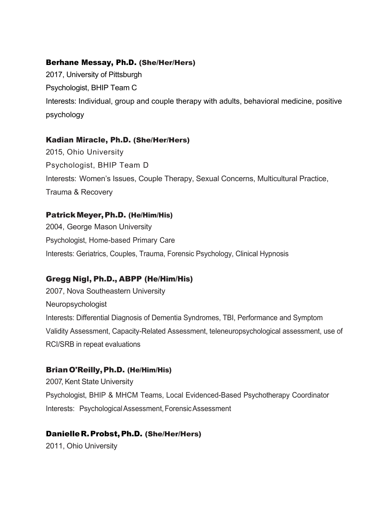#### Berhane Messay, Ph.D. (She/Her/Hers)

2017, University of Pittsburgh Psychologist, BHIP Team C Interests: Individual, group and couple therapy with adults, behavioral medicine, positive psychology

### Kadian Miracle, Ph.D. (She/Her/Hers)

2015, Ohio University Psychologist, BHIP Team D Interests: Women's Issues, Couple Therapy, Sexual Concerns, Multicultural Practice, Trauma & Recovery

## PatrickMeyer,Ph.D. (He/Him/His)

2004, George Mason University Psychologist, Home-based Primary Care Interests: Geriatrics, Couples, Trauma, Forensic Psychology, Clinical Hypnosis

## Gregg Nigl, Ph.D., ABPP (He/Him/His)

2007, Nova Southeastern University Neuropsychologist Interests: Differential Diagnosis of Dementia Syndromes, TBI, Performance and Symptom Validity Assessment, Capacity-Related Assessment, teleneuropsychological assessment, use of RCI/SRB in repeat evaluations

## Brian O'Reilly,Ph.D. (He/Him/His)

2007, Kent State University Psychologist, BHIP & MHCM Teams, Local Evidenced-Based Psychotherapy Coordinator Interests: Psychological Assessment, Forensic Assessment

## DanielleR.Probst, Ph.D. (She/Her/Hers)

2011, Ohio University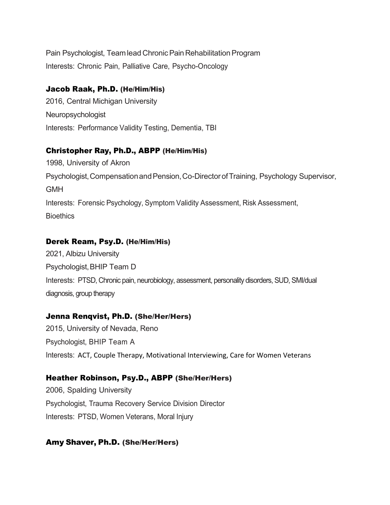Pain Psychologist, Team lead Chronic Pain Rehabilitation Program Interests: Chronic Pain, Palliative Care, Psycho-Oncology

#### Jacob Raak, Ph.D. (He/Him/His)

2016, Central Michigan University **Neuropsychologist** Interests: Performance Validity Testing, Dementia, TBI

#### Christopher Ray, Ph.D., ABPP (He/Him/His)

1998, University of Akron Psychologist, Compensation and Pension, Co-Director of Training, Psychology Supervisor, **GMH** Interests: Forensic Psychology, Symptom Validity Assessment, Risk Assessment, **Bioethics** 

#### Derek Ream, Psy.D. (He/Him/His)

2021, Albizu University Psychologist, BHIP Team D Interests: PTSD, Chronic pain, neurobiology, assessment, personality disorders, SUD, SMI/dual diagnosis, group therapy

#### Jenna Renqvist, Ph.D. (She/Her/Hers)

2015, University of Nevada, Reno Psychologist, BHIP Team A Interests: ACT, Couple Therapy, Motivational Interviewing, Care for Women Veterans

#### Heather Robinson, Psy.D., ABPP (She/Her/Hers)

2006, Spalding University Psychologist, Trauma Recovery Service Division Director Interests: PTSD, Women Veterans, Moral Injury

#### Amy Shaver, Ph.D. (She/Her/Hers)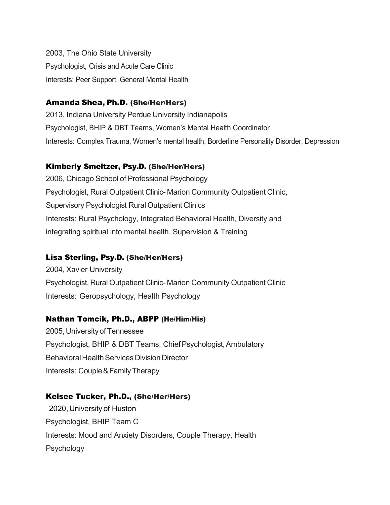2003, The Ohio State University Psychologist, Crisis and Acute Care Clinic Interests: Peer Support, General Mental Health

#### Amanda Shea, Ph.D. (She/Her/Hers)

2013, Indiana University Perdue University Indianapolis Psychologist, BHIP & DBT Teams, Women's Mental Health Coordinator Interests: Complex Trauma, Women's mental health, Borderline Personality Disorder, Depression

#### Kimberly Smeltzer, Psy.D. (She/Her/Hers)

2006, Chicago School of Professional Psychology Psychologist, Rural Outpatient Clinic- Marion Community Outpatient Clinic, Supervisory Psychologist Rural Outpatient Clinics Interests: Rural Psychology, Integrated Behavioral Health, Diversity and integrating spiritual into mental health, Supervision & Training

#### Lisa Sterling, Psy.D. (She/Her/Hers)

2004, Xavier University Psychologist, Rural Outpatient Clinic- Marion Community Outpatient Clinic Interests: Geropsychology, Health Psychology

#### Nathan Tomcik, Ph.D., ABPP (He/Him/His)

2005,UniversityofTennessee Psychologist, BHIP & DBT Teams, Chief Psychologist, Ambulatory Behavioral Health Services Division Director Interests: Couple&FamilyTherapy

#### Kelsee Tucker, Ph.D., (She/Her/Hers)

2020, University of Huston Psychologist, BHIP Team C Interests: Mood and Anxiety Disorders, Couple Therapy, Health Psychology